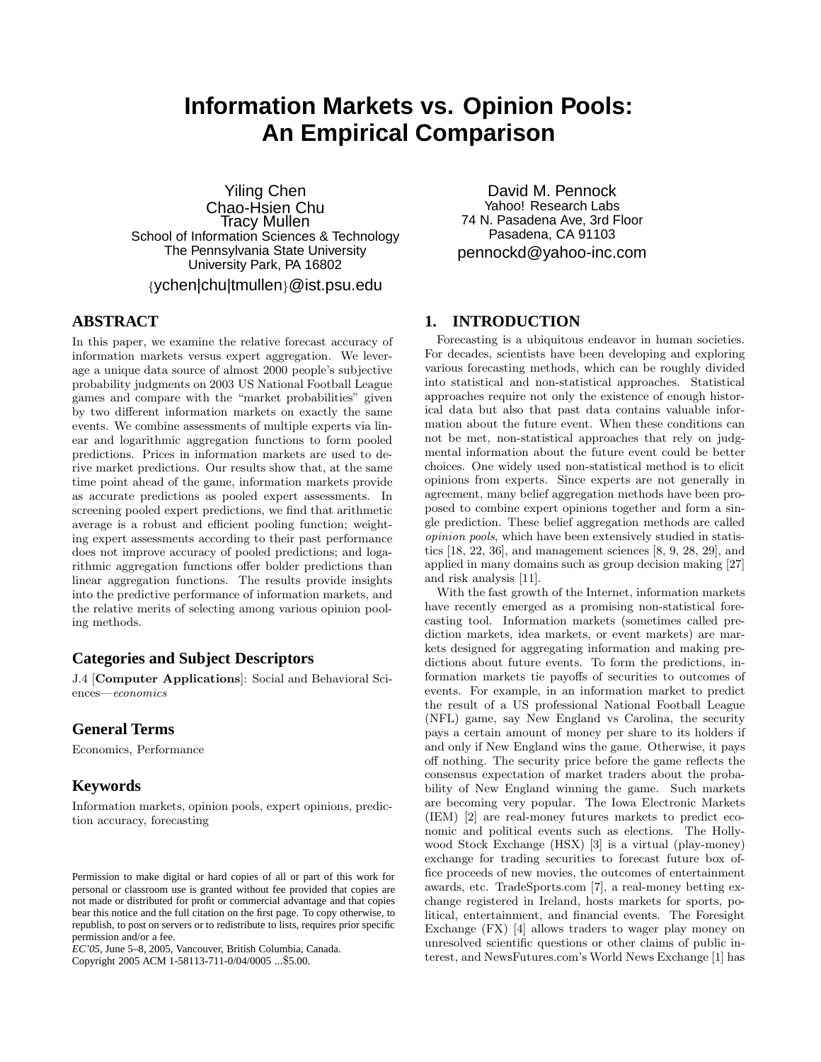# **Information Markets vs. Opinion Pools: An Empirical Comparison**

Yiling Chen Chao-Hsien Chu Tracy Mullen School of Information Sciences & Technology The Pennsylvania State University University Park, PA 16802 *{*ychen|chu|tmullen*}*@ist.psu.edu

# **ABSTRACT**

In this paper, we examine the relative forecast accuracy of information markets versus expert aggregation. We leverage a unique data source of almost 2000 people's subjective probability judgments on 2003 US National Football League games and compare with the "market probabilities" given by two different information markets on exactly the same events. We combine assessments of multiple experts via linear and logarithmic aggregation functions to form pooled predictions. Prices in information markets are used to derive market predictions. Our results show that, at the same time point ahead of the game, information markets provide as accurate predictions as pooled expert assessments. In screening pooled expert predictions, we find that arithmetic average is a robust and efficient pooling function; weighting expert assessments according to their past performance does not improve accuracy of pooled predictions; and logarithmic aggregation functions offer bolder predictions than linear aggregation functions. The results provide insights into the predictive performance of information markets, and the relative merits of selecting among various opinion pooling methods.

# **Categories and Subject Descriptors**

J.4 [**Computer Applications**]: Social and Behavioral Sciences—*economics*

# **General Terms**

Economics, Performance

# **Keywords**

Information markets, opinion pools, expert opinions, prediction accuracy, forecasting

*EC'05,* June 5–8, 2005, Vancouver, British Columbia, Canada. Copyright 2005 ACM 1-58113-711-0/04/0005 ...\$5.00.

David M. Pennock Yahoo! Research Labs 74 N. Pasadena Ave, 3rd Floor Pasadena, CA 91103 pennockd@yahoo-inc.com

# **1. INTRODUCTION**

Forecasting is a ubiquitous endeavor in human societies. For decades, scientists have been developing and exploring various forecasting methods, which can be roughly divided into statistical and non-statistical approaches. Statistical approaches require not only the existence of enough historical data but also that past data contains valuable information about the future event. When these conditions can not be met, non-statistical approaches that rely on judgmental information about the future event could be better choices. One widely used non-statistical method is to elicit opinions from experts. Since experts are not generally in agreement, many belief aggregation methods have been proposed to combine expert opinions together and form a single prediction. These belief aggregation methods are called *opinion pools*, which have been extensively studied in statistics [18, 22, 36], and management sciences [8, 9, 28, 29], and applied in many domains such as group decision making [27] and risk analysis [11].

With the fast growth of the Internet, information markets have recently emerged as a promising non-statistical forecasting tool. Information markets (sometimes called prediction markets, idea markets, or event markets) are markets designed for aggregating information and making predictions about future events. To form the predictions, information markets tie payoffs of securities to outcomes of events. For example, in an information market to predict the result of a US professional National Football League (NFL) game, say New England vs Carolina, the security pays a certain amount of money per share to its holders if and only if New England wins the game. Otherwise, it pays off nothing. The security price before the game reflects the consensus expectation of market traders about the probability of New England winning the game. Such markets are becoming very popular. The Iowa Electronic Markets (IEM) [2] are real-money futures markets to predict economic and political events such as elections. The Hollywood Stock Exchange (HSX) [3] is a virtual (play-money) exchange for trading securities to forecast future box office proceeds of new movies, the outcomes of entertainment awards, etc. TradeSports.com [7], a real-money betting exchange registered in Ireland, hosts markets for sports, political, entertainment, and financial events. The Foresight Exchange (FX) [4] allows traders to wager play money on unresolved scientific questions or other claims of public interest, and NewsFutures.com's World News Exchange [1] has

Permission to make digital or hard copies of all or part of this work for personal or classroom use is granted without fee provided that copies are not made or distributed for profit or commercial advantage and that copies bear this notice and the full citation on the first page. To copy otherwise, to republish, to post on servers or to redistribute to lists, requires prior specific permission and/or a fee.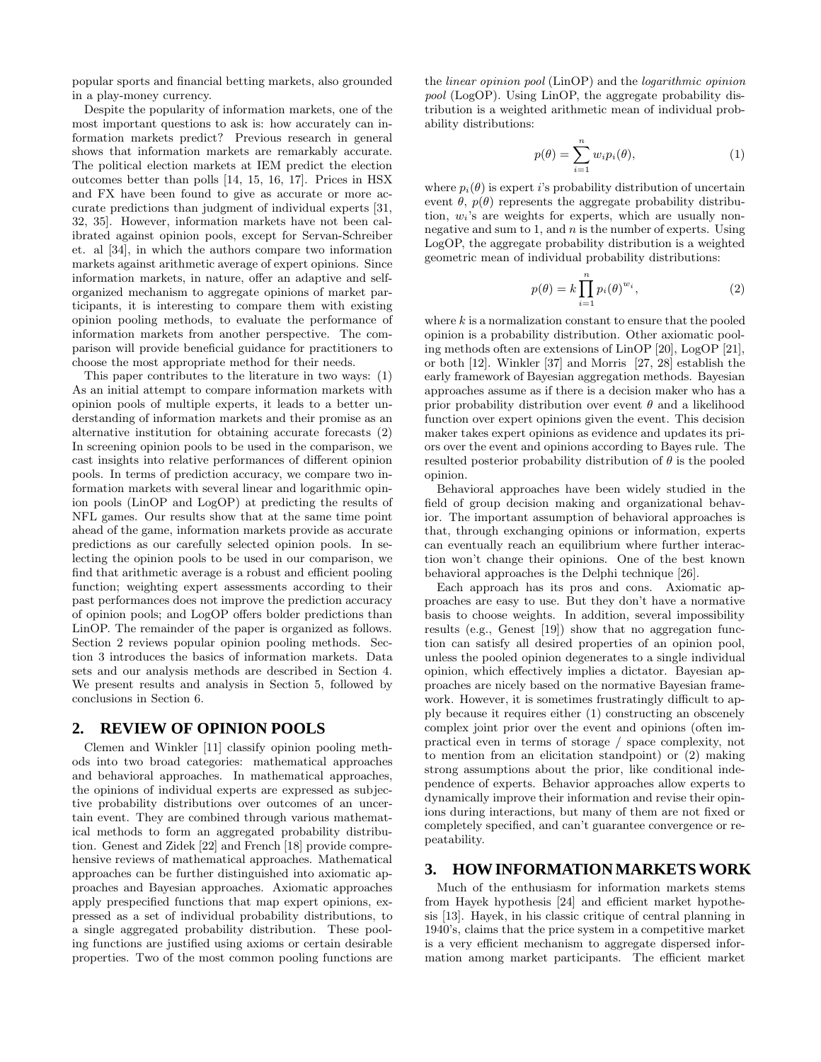popular sports and financial betting markets, also grounded in a play-money currency.

Despite the popularity of information markets, one of the most important questions to ask is: how accurately can information markets predict? Previous research in general shows that information markets are remarkably accurate. The political election markets at IEM predict the election outcomes better than polls [14, 15, 16, 17]. Prices in HSX and FX have been found to give as accurate or more accurate predictions than judgment of individual experts [31, 32, 35]. However, information markets have not been calibrated against opinion pools, except for Servan-Schreiber et. al [34], in which the authors compare two information markets against arithmetic average of expert opinions. Since information markets, in nature, offer an adaptive and selforganized mechanism to aggregate opinions of market participants, it is interesting to compare them with existing opinion pooling methods, to evaluate the performance of information markets from another perspective. The comparison will provide beneficial guidance for practitioners to choose the most appropriate method for their needs.

This paper contributes to the literature in two ways: (1) As an initial attempt to compare information markets with opinion pools of multiple experts, it leads to a better understanding of information markets and their promise as an alternative institution for obtaining accurate forecasts (2) In screening opinion pools to be used in the comparison, we cast insights into relative performances of different opinion pools. In terms of prediction accuracy, we compare two information markets with several linear and logarithmic opinion pools (LinOP and LogOP) at predicting the results of NFL games. Our results show that at the same time point ahead of the game, information markets provide as accurate predictions as our carefully selected opinion pools. In selecting the opinion pools to be used in our comparison, we find that arithmetic average is a robust and efficient pooling function; weighting expert assessments according to their past performances does not improve the prediction accuracy of opinion pools; and LogOP offers bolder predictions than LinOP. The remainder of the paper is organized as follows. Section 2 reviews popular opinion pooling methods. Section 3 introduces the basics of information markets. Data sets and our analysis methods are described in Section 4. We present results and analysis in Section 5, followed by conclusions in Section 6.

# **2. REVIEW OF OPINION POOLS**

Clemen and Winkler [11] classify opinion pooling methods into two broad categories: mathematical approaches and behavioral approaches. In mathematical approaches, the opinions of individual experts are expressed as subjective probability distributions over outcomes of an uncertain event. They are combined through various mathematical methods to form an aggregated probability distribution. Genest and Zidek [22] and French [18] provide comprehensive reviews of mathematical approaches. Mathematical approaches can be further distinguished into axiomatic approaches and Bayesian approaches. Axiomatic approaches apply prespecified functions that map expert opinions, expressed as a set of individual probability distributions, to a single aggregated probability distribution. These pooling functions are justified using axioms or certain desirable properties. Two of the most common pooling functions are the *linear opinion pool* (LinOP) and the *logarithmic opinion pool* (LogOP). Using LinOP, the aggregate probability distribution is a weighted arithmetic mean of individual probability distributions:

$$
p(\theta) = \sum_{i=1}^{n} w_i p_i(\theta),
$$
 (1)

where  $p_i(\theta)$  is expert *i*'s probability distribution of uncertain event  $\theta$ ,  $p(\theta)$  represents the aggregate probability distribution, w*i*'s are weights for experts, which are usually nonnegative and sum to 1, and  $n$  is the number of experts. Using LogOP, the aggregate probability distribution is a weighted geometric mean of individual probability distributions:

$$
p(\theta) = k \prod_{i=1}^{n} p_i(\theta)^{w_i}, \qquad (2)
$$

where  $k$  is a normalization constant to ensure that the pooled opinion is a probability distribution. Other axiomatic pooling methods often are extensions of LinOP [20], LogOP [21], or both [12]. Winkler [37] and Morris [27, 28] establish the early framework of Bayesian aggregation methods. Bayesian approaches assume as if there is a decision maker who has a prior probability distribution over event  $\theta$  and a likelihood function over expert opinions given the event. This decision maker takes expert opinions as evidence and updates its priors over the event and opinions according to Bayes rule. The resulted posterior probability distribution of  $\theta$  is the pooled opinion.

Behavioral approaches have been widely studied in the field of group decision making and organizational behavior. The important assumption of behavioral approaches is that, through exchanging opinions or information, experts can eventually reach an equilibrium where further interaction won't change their opinions. One of the best known behavioral approaches is the Delphi technique [26].

Each approach has its pros and cons. Axiomatic approaches are easy to use. But they don't have a normative basis to choose weights. In addition, several impossibility results (e.g., Genest [19]) show that no aggregation function can satisfy all desired properties of an opinion pool, unless the pooled opinion degenerates to a single individual opinion, which effectively implies a dictator. Bayesian approaches are nicely based on the normative Bayesian framework. However, it is sometimes frustratingly difficult to apply because it requires either (1) constructing an obscenely complex joint prior over the event and opinions (often impractical even in terms of storage / space complexity, not to mention from an elicitation standpoint) or (2) making strong assumptions about the prior, like conditional independence of experts. Behavior approaches allow experts to dynamically improve their information and revise their opinions during interactions, but many of them are not fixed or completely specified, and can't guarantee convergence or repeatability.

## **3. HOW INFORMATIONMARKETSWORK**

Much of the enthusiasm for information markets stems from Hayek hypothesis [24] and efficient market hypothesis [13]. Hayek, in his classic critique of central planning in 1940's, claims that the price system in a competitive market is a very efficient mechanism to aggregate dispersed information among market participants. The efficient market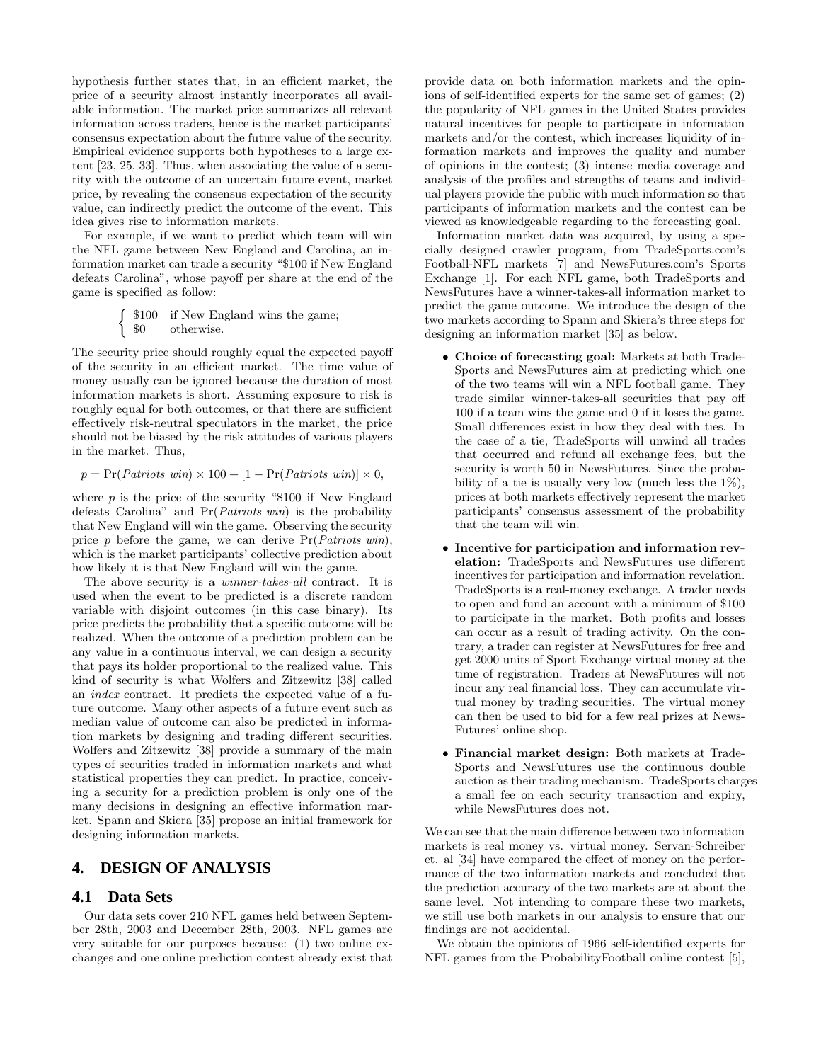hypothesis further states that, in an efficient market, the price of a security almost instantly incorporates all available information. The market price summarizes all relevant information across traders, hence is the market participants' consensus expectation about the future value of the security. Empirical evidence supports both hypotheses to a large extent [23, 25, 33]. Thus, when associating the value of a security with the outcome of an uncertain future event, market price, by revealing the consensus expectation of the security value, can indirectly predict the outcome of the event. This idea gives rise to information markets.

For example, if we want to predict which team will win the NFL game between New England and Carolina, an information market can trade a security "\$100 if New England defeats Carolina", whose payoff per share at the end of the game is specified as follow:

> -\$100 if New England wins the game; \$0 otherwise.

The security price should roughly equal the expected payoff of the security in an efficient market. The time value of money usually can be ignored because the duration of most information markets is short. Assuming exposure to risk is roughly equal for both outcomes, or that there are sufficient effectively risk-neutral speculators in the market, the price should not be biased by the risk attitudes of various players in the market. Thus,

$$
p = \Pr(Patriots win) \times 100 + [1 - \Pr(Patriots win)] \times 0,
$$

where  $p$  is the price of the security "\$100 if New England defeats Carolina" and Pr(*Patriots win*) is the probability that New England will win the game. Observing the security price p before the game, we can derive Pr(*Patriots win*), which is the market participants' collective prediction about how likely it is that New England will win the game.

The above security is a *winner-takes-all* contract. It is used when the event to be predicted is a discrete random variable with disjoint outcomes (in this case binary). Its price predicts the probability that a specific outcome will be realized. When the outcome of a prediction problem can be any value in a continuous interval, we can design a security that pays its holder proportional to the realized value. This kind of security is what Wolfers and Zitzewitz [38] called an *index* contract. It predicts the expected value of a future outcome. Many other aspects of a future event such as median value of outcome can also be predicted in information markets by designing and trading different securities. Wolfers and Zitzewitz [38] provide a summary of the main types of securities traded in information markets and what statistical properties they can predict. In practice, conceiving a security for a prediction problem is only one of the many decisions in designing an effective information market. Spann and Skiera [35] propose an initial framework for designing information markets.

## **4. DESIGN OF ANALYSIS**

#### **4.1 Data Sets**

Our data sets cover 210 NFL games held between September 28th, 2003 and December 28th, 2003. NFL games are very suitable for our purposes because: (1) two online exchanges and one online prediction contest already exist that provide data on both information markets and the opinions of self-identified experts for the same set of games; (2) the popularity of NFL games in the United States provides natural incentives for people to participate in information markets and/or the contest, which increases liquidity of information markets and improves the quality and number of opinions in the contest; (3) intense media coverage and analysis of the profiles and strengths of teams and individual players provide the public with much information so that participants of information markets and the contest can be viewed as knowledgeable regarding to the forecasting goal.

Information market data was acquired, by using a specially designed crawler program, from TradeSports.com's Football-NFL markets [7] and NewsFutures.com's Sports Exchange [1]. For each NFL game, both TradeSports and NewsFutures have a winner-takes-all information market to predict the game outcome. We introduce the design of the two markets according to Spann and Skiera's three steps for designing an information market [35] as below.

- *•* **Choice of forecasting goal:** Markets at both Trade-Sports and NewsFutures aim at predicting which one of the two teams will win a NFL football game. They trade similar winner-takes-all securities that pay off 100 if a team wins the game and 0 if it loses the game. Small differences exist in how they deal with ties. In the case of a tie, TradeSports will unwind all trades that occurred and refund all exchange fees, but the security is worth 50 in NewsFutures. Since the probability of a tie is usually very low (much less the 1%), prices at both markets effectively represent the market participants' consensus assessment of the probability that the team will win.
- *•* **Incentive for participation and information revelation:** TradeSports and NewsFutures use different incentives for participation and information revelation. TradeSports is a real-money exchange. A trader needs to open and fund an account with a minimum of \$100 to participate in the market. Both profits and losses can occur as a result of trading activity. On the contrary, a trader can register at NewsFutures for free and get 2000 units of Sport Exchange virtual money at the time of registration. Traders at NewsFutures will not incur any real financial loss. They can accumulate virtual money by trading securities. The virtual money can then be used to bid for a few real prizes at News-Futures' online shop.
- *•* **Financial market design:** Both markets at Trade-Sports and NewsFutures use the continuous double auction as their trading mechanism. TradeSports charges a small fee on each security transaction and expiry, while NewsFutures does not.

We can see that the main difference between two information markets is real money vs. virtual money. Servan-Schreiber et. al [34] have compared the effect of money on the performance of the two information markets and concluded that the prediction accuracy of the two markets are at about the same level. Not intending to compare these two markets, we still use both markets in our analysis to ensure that our findings are not accidental.

We obtain the opinions of 1966 self-identified experts for NFL games from the ProbabilityFootball online contest [5],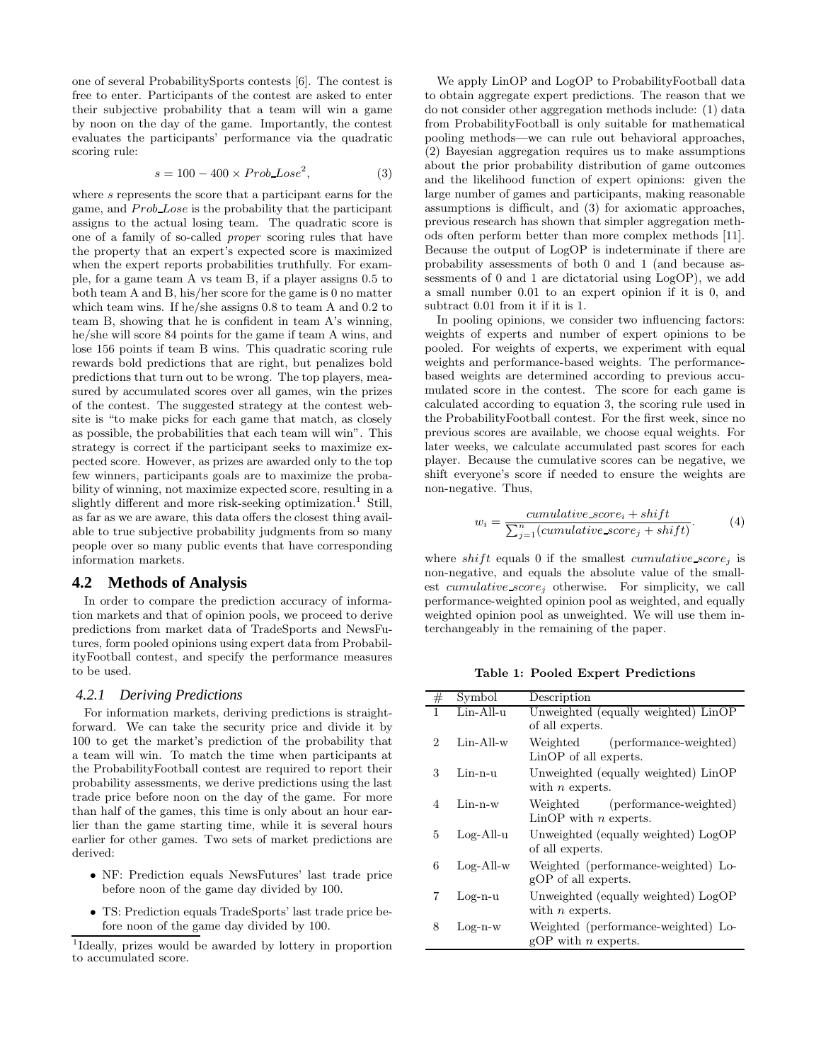one of several ProbabilitySports contests [6]. The contest is free to enter. Participants of the contest are asked to enter their subjective probability that a team will win a game by noon on the day of the game. Importantly, the contest evaluates the participants' performance via the quadratic scoring rule:

$$
s = 100 - 400 \times Prob\_Lose^2,
$$
 (3)

where s represents the score that a participant earns for the game, and *Prob Lose* is the probability that the participant assigns to the actual losing team. The quadratic score is one of a family of so-called *proper* scoring rules that have the property that an expert's expected score is maximized when the expert reports probabilities truthfully. For example, for a game team A vs team B, if a player assigns 0.5 to both team A and B, his/her score for the game is 0 no matter which team wins. If he/she assigns 0.8 to team A and 0.2 to team B, showing that he is confident in team A's winning, he/she will score 84 points for the game if team A wins, and lose 156 points if team B wins. This quadratic scoring rule rewards bold predictions that are right, but penalizes bold predictions that turn out to be wrong. The top players, measured by accumulated scores over all games, win the prizes of the contest. The suggested strategy at the contest website is "to make picks for each game that match, as closely as possible, the probabilities that each team will win". This strategy is correct if the participant seeks to maximize expected score. However, as prizes are awarded only to the top few winners, participants goals are to maximize the probability of winning, not maximize expected score, resulting in a slightly different and more risk-seeking optimization.<sup>1</sup> Still, as far as we are aware, this data offers the closest thing available to true subjective probability judgments from so many people over so many public events that have corresponding information markets.

#### **4.2 Methods of Analysis**

In order to compare the prediction accuracy of information markets and that of opinion pools, we proceed to derive predictions from market data of TradeSports and NewsFutures, form pooled opinions using expert data from ProbabilityFootball contest, and specify the performance measures to be used.

#### *4.2.1 Deriving Predictions*

For information markets, deriving predictions is straightforward. We can take the security price and divide it by 100 to get the market's prediction of the probability that a team will win. To match the time when participants at the ProbabilityFootball contest are required to report their probability assessments, we derive predictions using the last trade price before noon on the day of the game. For more than half of the games, this time is only about an hour earlier than the game starting time, while it is several hours earlier for other games. Two sets of market predictions are derived:

- *•* NF: Prediction equals NewsFutures' last trade price before noon of the game day divided by 100.
- *•* TS: Prediction equals TradeSports' last trade price before noon of the game day divided by 100.

<sup>1</sup>Ideally, prizes would be awarded by lottery in proportion to accumulated score.

We apply LinOP and LogOP to ProbabilityFootball data to obtain aggregate expert predictions. The reason that we do not consider other aggregation methods include: (1) data from ProbabilityFootball is only suitable for mathematical pooling methods—we can rule out behavioral approaches, (2) Bayesian aggregation requires us to make assumptions about the prior probability distribution of game outcomes and the likelihood function of expert opinions: given the large number of games and participants, making reasonable assumptions is difficult, and (3) for axiomatic approaches, previous research has shown that simpler aggregation methods often perform better than more complex methods [11]. Because the output of LogOP is indeterminate if there are probability assessments of both 0 and 1 (and because assessments of 0 and 1 are dictatorial using LogOP), we add a small number 0.01 to an expert opinion if it is 0, and subtract 0.01 from it if it is 1.

In pooling opinions, we consider two influencing factors: weights of experts and number of expert opinions to be pooled. For weights of experts, we experiment with equal weights and performance-based weights. The performancebased weights are determined according to previous accumulated score in the contest. The score for each game is calculated according to equation 3, the scoring rule used in the ProbabilityFootball contest. For the first week, since no previous scores are available, we choose equal weights. For later weeks, we calculate accumulated past scores for each player. Because the cumulative scores can be negative, we shift everyone's score if needed to ensure the weights are non-negative. Thus,

$$
w_i = \frac{cumulative\_score_i + shift}{\sum_{j=1}^{n} (cumulative\_score_j + shift)}.\tag{4}
$$

where *shift* equals 0 if the smallest *cumulative score<sub>i</sub>* is non-negative, and equals the absolute value of the smallest cumulative score*<sup>j</sup>* otherwise. For simplicity, we call performance-weighted opinion pool as weighted, and equally weighted opinion pool as unweighted. We will use them interchangeably in the remaining of the paper.

**Table 1: Pooled Expert Predictions**

| $Lin-All-u$<br>Unweighted (equally weighted) LinOP    |                                     |
|-------------------------------------------------------|-------------------------------------|
| of all experts.                                       |                                     |
| $Lin-All-w$<br>2<br>Weighted<br>LinOP of all experts. | (performance-weighted)              |
| 3<br>Lin-n-u<br>with $n$ experts.                     | Unweighted (equally weighted) LinOP |
| Lin-n-w<br>Weighted<br>4<br>LinOP with $n$ experts.   | (performance-weighted)              |
| $Log-All-u$<br>5<br>of all experts.                   | Unweighted (equally weighted) LogOP |
| 6<br>$Log-All-w$<br>gOP of all experts.               | Weighted (performance-weighted) Lo- |
| 7<br>$Log-n-u$<br>with $n$ experts.                   | Unweighted (equally weighted) LogOP |
| 8<br>$Log-n-w$<br>$gOP$ with <i>n</i> experts.        | Weighted (performance-weighted) Lo- |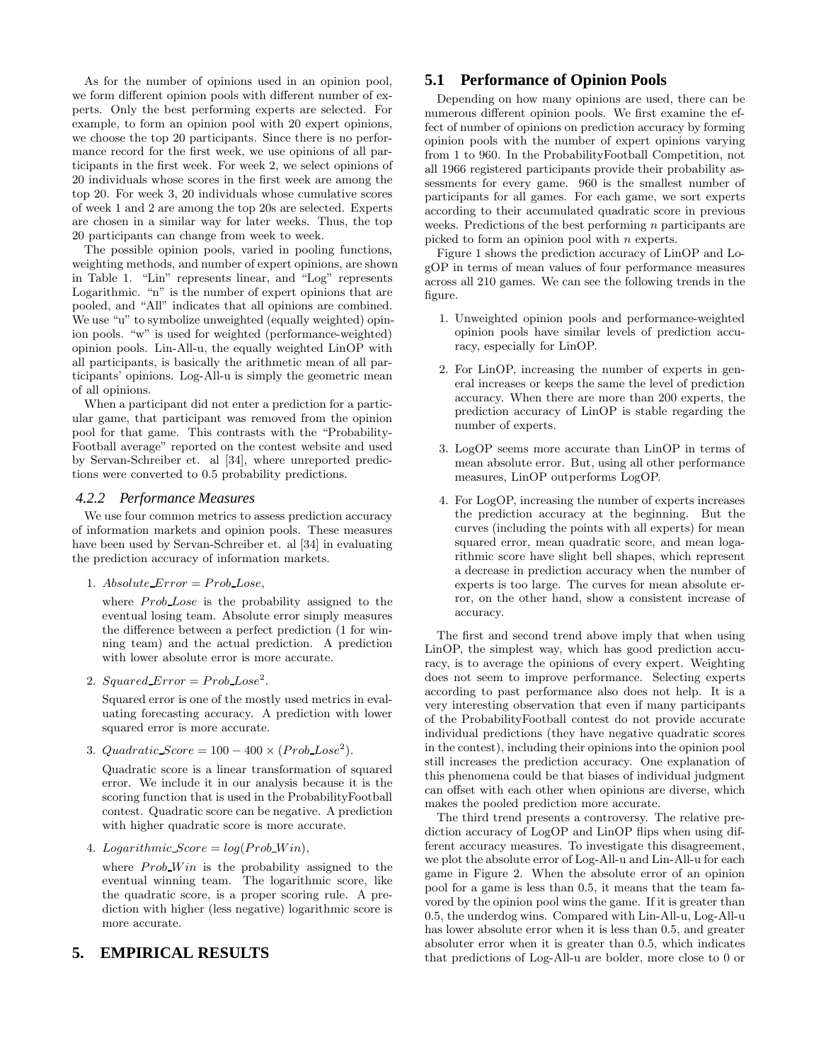As for the number of opinions used in an opinion pool, we form different opinion pools with different number of experts. Only the best performing experts are selected. For example, to form an opinion pool with 20 expert opinions, we choose the top 20 participants. Since there is no performance record for the first week, we use opinions of all participants in the first week. For week 2, we select opinions of 20 individuals whose scores in the first week are among the top 20. For week 3, 20 individuals whose cumulative scores of week 1 and 2 are among the top 20s are selected. Experts are chosen in a similar way for later weeks. Thus, the top 20 participants can change from week to week.

The possible opinion pools, varied in pooling functions, weighting methods, and number of expert opinions, are shown in Table 1. "Lin" represents linear, and "Log" represents Logarithmic. "n" is the number of expert opinions that are pooled, and "All" indicates that all opinions are combined. We use "u" to symbolize unweighted (equally weighted) opinion pools. "w" is used for weighted (performance-weighted) opinion pools. Lin-All-u, the equally weighted LinOP with all participants, is basically the arithmetic mean of all participants' opinions. Log-All-u is simply the geometric mean of all opinions.

When a participant did not enter a prediction for a particular game, that participant was removed from the opinion pool for that game. This contrasts with the "Probability-Football average" reported on the contest website and used by Servan-Schreiber et. al [34], where unreported predictions were converted to 0.5 probability predictions.

#### *4.2.2 Performance Measures*

We use four common metrics to assess prediction accuracy of information markets and opinion pools. These measures have been used by Servan-Schreiber et. al [34] in evaluating the prediction accuracy of information markets.

1. Absolute  $Error = Prob\_lose$ ,

where  $Prob\_Loss$  is the probability assigned to the eventual losing team. Absolute error simply measures the difference between a perfect prediction (1 for winning team) and the actual prediction. A prediction with lower absolute error is more accurate.

2. Squared  $Error = Prob\_lose^2$ .

Squared error is one of the mostly used metrics in evaluating forecasting accuracy. A prediction with lower squared error is more accurate.

3. Quadratic  $Score = 100 - 400 \times (Prob\_Loss^2)$ .

Quadratic score is a linear transformation of squared error. We include it in our analysis because it is the scoring function that is used in the ProbabilityFootball contest. Quadratic score can be negative. A prediction with higher quadratic score is more accurate.

4. Logarithmic  $Score = log(Prob\ Win),$ 

where  $Prob W$  in is the probability assigned to the eventual winning team. The logarithmic score, like the quadratic score, is a proper scoring rule. A prediction with higher (less negative) logarithmic score is more accurate.

# **5. EMPIRICAL RESULTS**

## **5.1 Performance of Opinion Pools**

Depending on how many opinions are used, there can be numerous different opinion pools. We first examine the effect of number of opinions on prediction accuracy by forming opinion pools with the number of expert opinions varying from 1 to 960. In the ProbabilityFootball Competition, not all 1966 registered participants provide their probability assessments for every game. 960 is the smallest number of participants for all games. For each game, we sort experts according to their accumulated quadratic score in previous weeks. Predictions of the best performing *n* participants are picked to form an opinion pool with n experts.

Figure 1 shows the prediction accuracy of LinOP and LogOP in terms of mean values of four performance measures across all 210 games. We can see the following trends in the figure.

- 1. Unweighted opinion pools and performance-weighted opinion pools have similar levels of prediction accuracy, especially for LinOP.
- 2. For LinOP, increasing the number of experts in general increases or keeps the same the level of prediction accuracy. When there are more than 200 experts, the prediction accuracy of LinOP is stable regarding the number of experts.
- 3. LogOP seems more accurate than LinOP in terms of mean absolute error. But, using all other performance measures, LinOP outperforms LogOP.
- 4. For LogOP, increasing the number of experts increases the prediction accuracy at the beginning. But the curves (including the points with all experts) for mean squared error, mean quadratic score, and mean logarithmic score have slight bell shapes, which represent a decrease in prediction accuracy when the number of experts is too large. The curves for mean absolute error, on the other hand, show a consistent increase of accuracy.

The first and second trend above imply that when using LinOP, the simplest way, which has good prediction accuracy, is to average the opinions of every expert. Weighting does not seem to improve performance. Selecting experts according to past performance also does not help. It is a very interesting observation that even if many participants of the ProbabilityFootball contest do not provide accurate individual predictions (they have negative quadratic scores in the contest), including their opinions into the opinion pool still increases the prediction accuracy. One explanation of this phenomena could be that biases of individual judgment can offset with each other when opinions are diverse, which makes the pooled prediction more accurate.

The third trend presents a controversy. The relative prediction accuracy of LogOP and LinOP flips when using different accuracy measures. To investigate this disagreement, we plot the absolute error of Log-All-u and Lin-All-u for each game in Figure 2. When the absolute error of an opinion pool for a game is less than 0.5, it means that the team favored by the opinion pool wins the game. If it is greater than 0.5, the underdog wins. Compared with Lin-All-u, Log-All-u has lower absolute error when it is less than 0.5, and greater absoluter error when it is greater than 0.5, which indicates that predictions of Log-All-u are bolder, more close to 0 or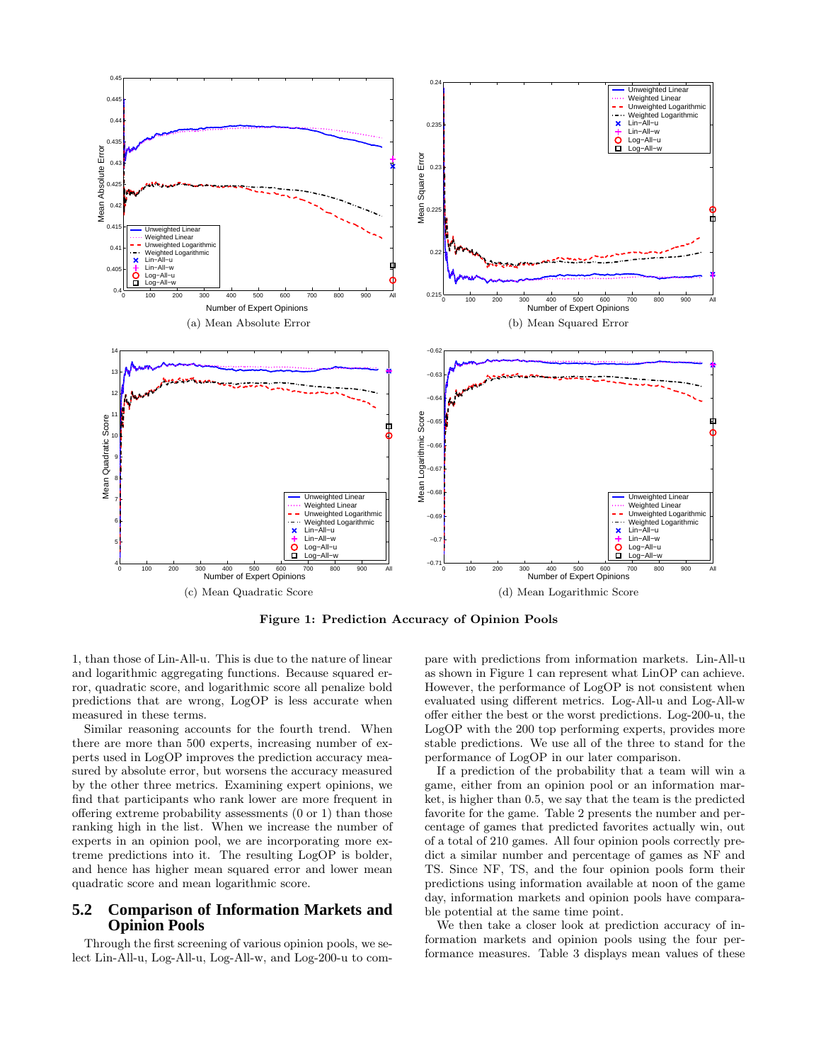

**Figure 1: Prediction Accuracy of Opinion Pools**

1, than those of Lin-All-u. This is due to the nature of linear and logarithmic aggregating functions. Because squared error, quadratic score, and logarithmic score all penalize bold predictions that are wrong, LogOP is less accurate when measured in these terms.

Similar reasoning accounts for the fourth trend. When there are more than 500 experts, increasing number of experts used in LogOP improves the prediction accuracy measured by absolute error, but worsens the accuracy measured by the other three metrics. Examining expert opinions, we find that participants who rank lower are more frequent in offering extreme probability assessments (0 or 1) than those ranking high in the list. When we increase the number of experts in an opinion pool, we are incorporating more extreme predictions into it. The resulting LogOP is bolder, and hence has higher mean squared error and lower mean quadratic score and mean logarithmic score.

#### **5.2 Comparison of Information Markets and Opinion Pools**

Through the first screening of various opinion pools, we select Lin-All-u, Log-All-u, Log-All-w, and Log-200-u to compare with predictions from information markets. Lin-All-u as shown in Figure 1 can represent what LinOP can achieve. However, the performance of LogOP is not consistent when evaluated using different metrics. Log-All-u and Log-All-w offer either the best or the worst predictions. Log-200-u, the LogOP with the 200 top performing experts, provides more stable predictions. We use all of the three to stand for the performance of LogOP in our later comparison.

If a prediction of the probability that a team will win a game, either from an opinion pool or an information market, is higher than 0.5, we say that the team is the predicted favorite for the game. Table 2 presents the number and percentage of games that predicted favorites actually win, out of a total of 210 games. All four opinion pools correctly predict a similar number and percentage of games as NF and TS. Since NF, TS, and the four opinion pools form their predictions using information available at noon of the game day, information markets and opinion pools have comparable potential at the same time point.

We then take a closer look at prediction accuracy of information markets and opinion pools using the four performance measures. Table 3 displays mean values of these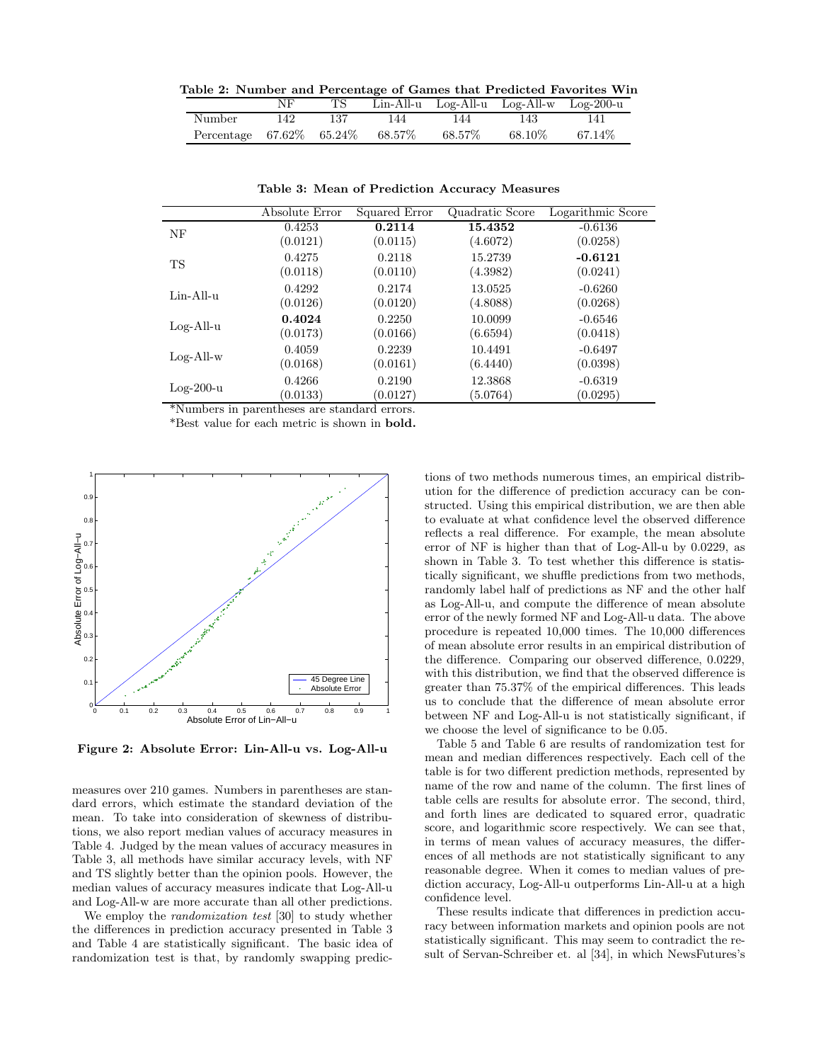**Table 2: Number and Percentage of Games that Predicted Favorites Win**

|                                          | NF  | TS. |     |           | $Lin-All-u$ $Log-All-u$ $Log-All-w$ $Log-200-u$ |           |
|------------------------------------------|-----|-----|-----|-----------|-------------------------------------------------|-----------|
| Number                                   | 142 | 137 | 144 | 144       | 143                                             | 141       |
| Percentage $67.62\%$ $65.24\%$ $68.57\%$ |     |     |     | $68.57\%$ | 68.10\%                                         | $67.14\%$ |

|                                                                               | Absolute Error | Squared Error | Quadratic Score | Logarithmic Score |  |  |
|-------------------------------------------------------------------------------|----------------|---------------|-----------------|-------------------|--|--|
| NF                                                                            | 0.4253         | 0.2114        | 15.4352         | $-0.6136$         |  |  |
|                                                                               | (0.0121)       | (0.0115)      | (4.6072)        | (0.0258)          |  |  |
| <b>TS</b>                                                                     | 0.4275         | 0.2118        | 15.2739         | $-0.6121$         |  |  |
|                                                                               | (0.0118)       | (0.0110)      | (4.3982)        | (0.0241)          |  |  |
|                                                                               | 0.4292         | 0.2174        | 13.0525         | $-0.6260$         |  |  |
| $Lin-All-u$                                                                   | (0.0126)       | (0.0120)      | (4.8088)        | (0.0268)          |  |  |
| $Log-All-u$                                                                   | 0.4024         | 0.2250        | 10.0099         | $-0.6546$         |  |  |
|                                                                               | (0.0173)       | (0.0166)      | (6.6594)        | (0.0418)          |  |  |
| $Log-All-w$                                                                   | 0.4059         | 0.2239        | 10.4491         | $-0.6497$         |  |  |
|                                                                               | (0.0168)       | (0.0161)      | (6.4440)        | (0.0398)          |  |  |
| $Log-200-u$                                                                   | 0.4266         | 0.2190        | 12.3868         | $-0.6319$         |  |  |
|                                                                               | (0.0133)       | (0.0127)      | (5.0764)        | (0.0295)          |  |  |
| $*N$ $\qquad$ $\qquad$<br>$\mathbf{1}$ $\mathbf{1}$ $\mathbf{1}$ $\mathbf{1}$ |                |               |                 |                   |  |  |

| Table 3: Mean of Prediction Accuracy Measures |
|-----------------------------------------------|
|-----------------------------------------------|

\*Numbers in parentheses are standard errors.

\*Best value for each metric is shown in **bold.**



**Figure 2: Absolute Error: Lin-All-u vs. Log-All-u**

measures over 210 games. Numbers in parentheses are standard errors, which estimate the standard deviation of the mean. To take into consideration of skewness of distributions, we also report median values of accuracy measures in Table 4. Judged by the mean values of accuracy measures in Table 3, all methods have similar accuracy levels, with NF and TS slightly better than the opinion pools. However, the median values of accuracy measures indicate that Log-All-u and Log-All-w are more accurate than all other predictions.

We employ the *randomization test* [30] to study whether the differences in prediction accuracy presented in Table 3 and Table 4 are statistically significant. The basic idea of randomization test is that, by randomly swapping predictions of two methods numerous times, an empirical distribution for the difference of prediction accuracy can be constructed. Using this empirical distribution, we are then able to evaluate at what confidence level the observed difference reflects a real difference. For example, the mean absolute error of NF is higher than that of Log-All-u by 0.0229, as shown in Table 3. To test whether this difference is statistically significant, we shuffle predictions from two methods, randomly label half of predictions as NF and the other half as Log-All-u, and compute the difference of mean absolute error of the newly formed NF and Log-All-u data. The above procedure is repeated 10,000 times. The 10,000 differences of mean absolute error results in an empirical distribution of the difference. Comparing our observed difference, 0.0229, with this distribution, we find that the observed difference is greater than 75.37% of the empirical differences. This leads us to conclude that the difference of mean absolute error between NF and Log-All-u is not statistically significant, if we choose the level of significance to be 0.05.

Table 5 and Table 6 are results of randomization test for mean and median differences respectively. Each cell of the table is for two different prediction methods, represented by name of the row and name of the column. The first lines of table cells are results for absolute error. The second, third, and forth lines are dedicated to squared error, quadratic score, and logarithmic score respectively. We can see that, in terms of mean values of accuracy measures, the differences of all methods are not statistically significant to any reasonable degree. When it comes to median values of prediction accuracy, Log-All-u outperforms Lin-All-u at a high confidence level.

These results indicate that differences in prediction accuracy between information markets and opinion pools are not statistically significant. This may seem to contradict the result of Servan-Schreiber et. al [34], in which NewsFutures's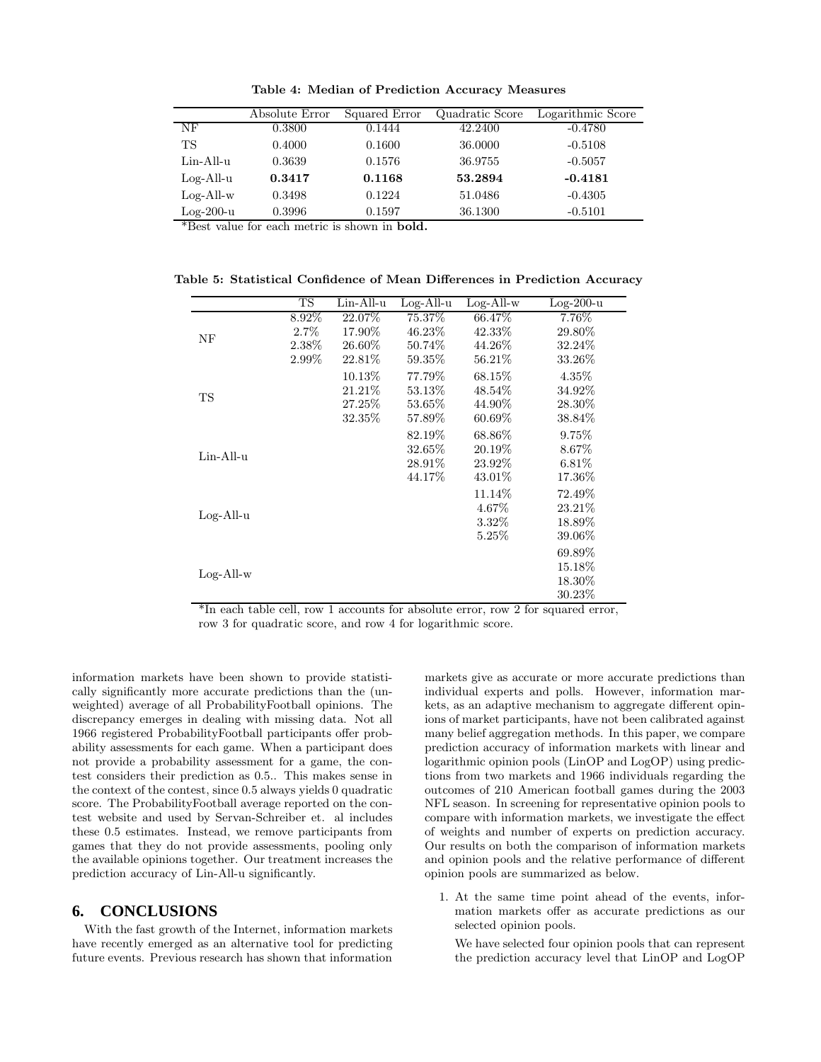|             | Absolute Error | Squared Error | Quadratic Score | Logarithmic Score |
|-------------|----------------|---------------|-----------------|-------------------|
| NF          | 0.3800         | 0.1444        | 42.2400         | $-0.4780$         |
| TS          | 0.4000         | 0.1600        | 36.0000         | $-0.5108$         |
| $Lin-All-u$ | 0.3639         | 0.1576        | 36.9755         | $-0.5057$         |
| $Log-All-u$ | 0.3417         | 0.1168        | 53.2894         | $-0.4181$         |
| $Log-All-w$ | 0.3498         | 0.1224        | 51.0486         | $-0.4305$         |
| $Log-200-u$ | 0.3996         | 0.1597        | 36.1300         | $-0.5101$         |

**Table 4: Median of Prediction Accuracy Measures**

\*Best value for each metric is shown in **bold.**

**Table 5: Statistical Confidence of Mean Differences in Prediction Accuracy**

|             | <b>TS</b> | $Lin-All-u$ | $Log-All-u$ | $Log-All-w$ | $Log-200-u$ |
|-------------|-----------|-------------|-------------|-------------|-------------|
| NF          | 8.92%     | 22.07%      | 75.37%      | 66.47\%     | 7.76\%      |
|             | $2.7\%$   | 17.90%      | 46.23%      | 42.33%      | 29.80%      |
|             | 2.38%     | 26.60%      | 50.74%      | 44.26%      | 32.24\%     |
|             | 2.99%     | 22.81\%     | 59.35%      | 56.21%      | 33.26\%     |
|             |           | 10.13%      | 77.79%      | 68.15%      | 4.35%       |
|             |           | 21.21\%     | 53.13\%     | 48.54\%     | 34.92\%     |
| TS          |           | 27.25%      | 53.65\%     | 44.90%      | 28.30\%     |
|             |           | 32.35%      | 57.89%      | 60.69%      | 38.84%      |
|             |           |             | 82.19%      | 68.86%      | 9.75%       |
| $Lin-All-u$ |           |             | 32.65%      | 20.19%      | 8.67%       |
|             |           |             | $28.91\%$   | 23.92\%     | $6.81\%$    |
|             |           |             | 44.17%      | 43.01%      | 17.36%      |
|             |           |             |             | 11.14%      | 72.49%      |
| $Log-All-u$ |           |             |             | 4.67%       | 23.21\%     |
|             |           |             |             | 3.32%       | 18.89%      |
|             |           |             |             | $5.25\%$    | 39.06%      |
| $Log-All-w$ |           |             |             |             | 69.89%      |
|             |           |             |             |             | 15.18%      |
|             |           |             |             |             | 18.30%      |
|             |           |             |             |             | 30.23%      |

\*In each table cell, row 1 accounts for absolute error, row 2 for squared error, row 3 for quadratic score, and row 4 for logarithmic score.

information markets have been shown to provide statistically significantly more accurate predictions than the (unweighted) average of all ProbabilityFootball opinions. The discrepancy emerges in dealing with missing data. Not all 1966 registered ProbabilityFootball participants offer probability assessments for each game. When a participant does not provide a probability assessment for a game, the contest considers their prediction as 0.5.. This makes sense in the context of the contest, since 0.5 always yields 0 quadratic score. The ProbabilityFootball average reported on the contest website and used by Servan-Schreiber et. al includes these 0.5 estimates. Instead, we remove participants from games that they do not provide assessments, pooling only the available opinions together. Our treatment increases the prediction accuracy of Lin-All-u significantly.

# **6. CONCLUSIONS**

With the fast growth of the Internet, information markets have recently emerged as an alternative tool for predicting future events. Previous research has shown that information

markets give as accurate or more accurate predictions than individual experts and polls. However, information markets, as an adaptive mechanism to aggregate different opinions of market participants, have not been calibrated against many belief aggregation methods. In this paper, we compare prediction accuracy of information markets with linear and logarithmic opinion pools (LinOP and LogOP) using predictions from two markets and 1966 individuals regarding the outcomes of 210 American football games during the 2003 NFL season. In screening for representative opinion pools to compare with information markets, we investigate the effect of weights and number of experts on prediction accuracy. Our results on both the comparison of information markets and opinion pools and the relative performance of different opinion pools are summarized as below.

1. At the same time point ahead of the events, information markets offer as accurate predictions as our selected opinion pools.

We have selected four opinion pools that can represent the prediction accuracy level that LinOP and LogOP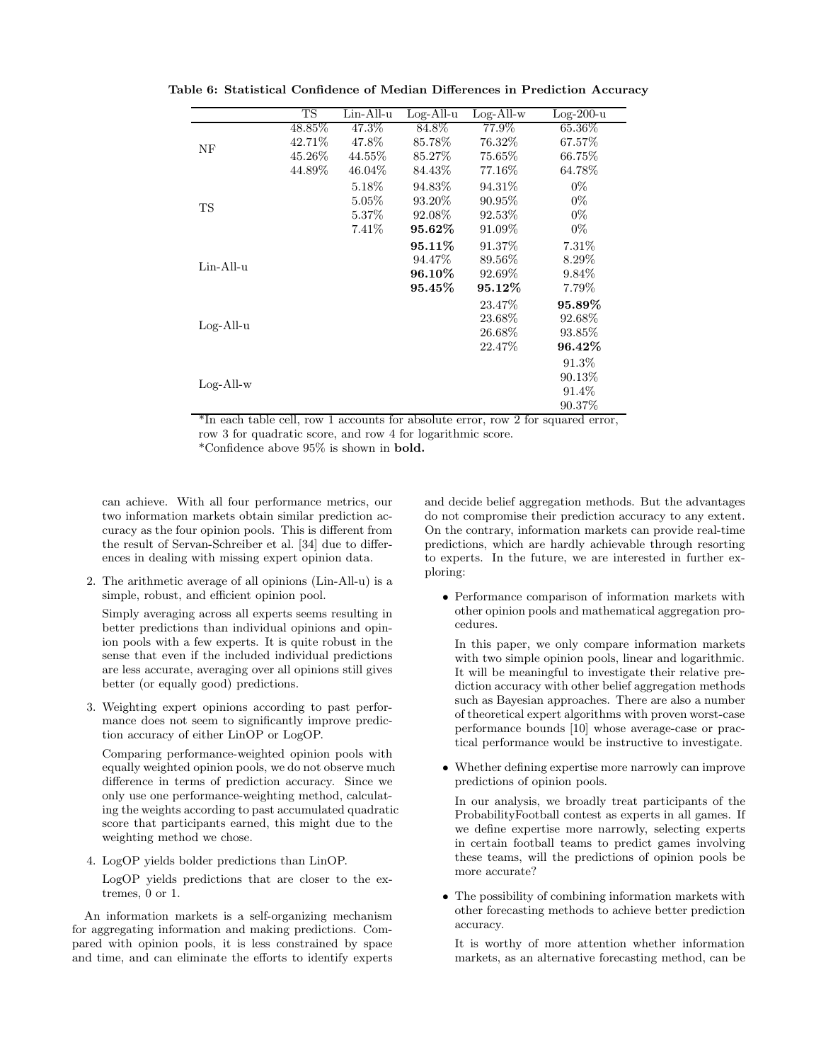|             | <b>TS</b> | Lin-All-u           | $Log-All-u$ | $Log-All-w$ | $Log-200-u$ |
|-------------|-----------|---------------------|-------------|-------------|-------------|
|             | 48.85%    | $47.\overline{3\%}$ | 84.8%       | 77.9%       | 65.36%      |
| NF          | 42.71%    | 47.8%               | 85.78%      | 76.32%      | 67.57%      |
|             | $45.26\%$ | 44.55%              | 85.27\%     | 75.65%      | 66.75%      |
|             | 44.89%    | 46.04%              | 84.43\%     | 77.16%      | 64.78%      |
|             |           | 5.18%               | 94.83%      | 94.31%      | $0\%$       |
|             |           | 5.05%               | 93.20\%     | $90.95\%$   | $0\%$       |
| TS          |           | 5.37%               | 92.08\%     | 92.53%      | $0\%$       |
|             |           | 7.41%               | $95.62\%$   | 91.09%      | $0\%$       |
|             |           |                     | 95.11\%     | 91.37%      | 7.31%       |
| $Lin-All-u$ |           |                     | 94.47\%     | 89.56%      | 8.29\%      |
|             |           |                     | 96.10\%     | 92.69%      | $9.84\%$    |
|             |           |                     | 95.45%      | $95.12\%$   | 7.79%       |
|             |           |                     |             | 23.47%      | 95.89%      |
|             |           |                     |             | 23.68%      | 92.68\%     |
| $Log-All-u$ |           |                     |             | 26.68\%     | 93.85%      |
|             |           |                     |             | 22.47%      | 96.42\%     |
|             |           |                     |             |             | $91.3\%$    |
|             |           |                     |             |             | 90.13%      |
| $Log-All-w$ |           |                     |             |             | 91.4\%      |
|             |           |                     |             |             | $90.37\%$   |

**Table 6: Statistical Confidence of Median Differences in Prediction Accuracy**

\*In each table cell, row 1 accounts for absolute error, row 2 for squared error, row 3 for quadratic score, and row 4 for logarithmic score.

\*Confidence above 95% is shown in **bold.**

can achieve. With all four performance metrics, our two information markets obtain similar prediction accuracy as the four opinion pools. This is different from the result of Servan-Schreiber et al. [34] due to differences in dealing with missing expert opinion data.

2. The arithmetic average of all opinions (Lin-All-u) is a simple, robust, and efficient opinion pool.

Simply averaging across all experts seems resulting in better predictions than individual opinions and opinion pools with a few experts. It is quite robust in the sense that even if the included individual predictions are less accurate, averaging over all opinions still gives better (or equally good) predictions.

3. Weighting expert opinions according to past performance does not seem to significantly improve prediction accuracy of either LinOP or LogOP.

Comparing performance-weighted opinion pools with equally weighted opinion pools, we do not observe much difference in terms of prediction accuracy. Since we only use one performance-weighting method, calculating the weights according to past accumulated quadratic score that participants earned, this might due to the weighting method we chose.

- 4. LogOP yields bolder predictions than LinOP.
- LogOP yields predictions that are closer to the extremes, 0 or 1.

An information markets is a self-organizing mechanism for aggregating information and making predictions. Compared with opinion pools, it is less constrained by space and time, and can eliminate the efforts to identify experts

and decide belief aggregation methods. But the advantages do not compromise their prediction accuracy to any extent. On the contrary, information markets can provide real-time predictions, which are hardly achievable through resorting to experts. In the future, we are interested in further exploring:

*•* Performance comparison of information markets with other opinion pools and mathematical aggregation procedures.

In this paper, we only compare information markets with two simple opinion pools, linear and logarithmic. It will be meaningful to investigate their relative prediction accuracy with other belief aggregation methods such as Bayesian approaches. There are also a number of theoretical expert algorithms with proven worst-case performance bounds [10] whose average-case or practical performance would be instructive to investigate.

*•* Whether defining expertise more narrowly can improve predictions of opinion pools.

In our analysis, we broadly treat participants of the ProbabilityFootball contest as experts in all games. If we define expertise more narrowly, selecting experts in certain football teams to predict games involving these teams, will the predictions of opinion pools be more accurate?

*•* The possibility of combining information markets with other forecasting methods to achieve better prediction accuracy.

It is worthy of more attention whether information markets, as an alternative forecasting method, can be